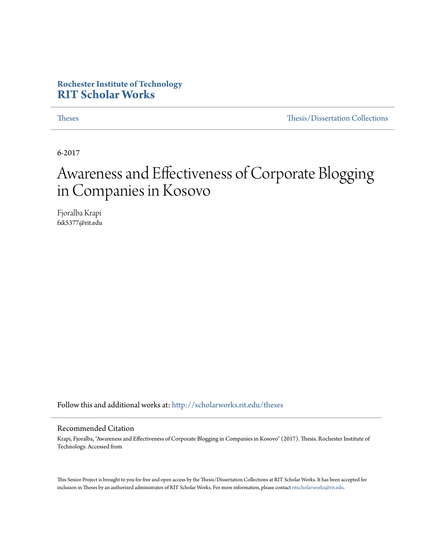### **Rochester Institute of Technology [RIT Scholar Works](http://scholarworks.rit.edu?utm_source=scholarworks.rit.edu%2Ftheses%2F9482&utm_medium=PDF&utm_campaign=PDFCoverPages)**

[Theses](http://scholarworks.rit.edu/theses?utm_source=scholarworks.rit.edu%2Ftheses%2F9482&utm_medium=PDF&utm_campaign=PDFCoverPages) [Thesis/Dissertation Collections](http://scholarworks.rit.edu/etd_collections?utm_source=scholarworks.rit.edu%2Ftheses%2F9482&utm_medium=PDF&utm_campaign=PDFCoverPages)

6-2017

### Awareness and Effectiveness of Corporate Blogging in Companies in Kosovo

Fjoralba Krapi fxk5377@rit.edu

Follow this and additional works at: [http://scholarworks.rit.edu/theses](http://scholarworks.rit.edu/theses?utm_source=scholarworks.rit.edu%2Ftheses%2F9482&utm_medium=PDF&utm_campaign=PDFCoverPages)

#### Recommended Citation

Krapi, Fjoralba, "Awareness and Effectiveness of Corporate Blogging in Companies in Kosovo" (2017). Thesis. Rochester Institute of Technology. Accessed from

This Senior Project is brought to you for free and open access by the Thesis/Dissertation Collections at RIT Scholar Works. It has been accepted for inclusion in Theses by an authorized administrator of RIT Scholar Works. For more information, please contact [ritscholarworks@rit.edu](mailto:ritscholarworks@rit.edu).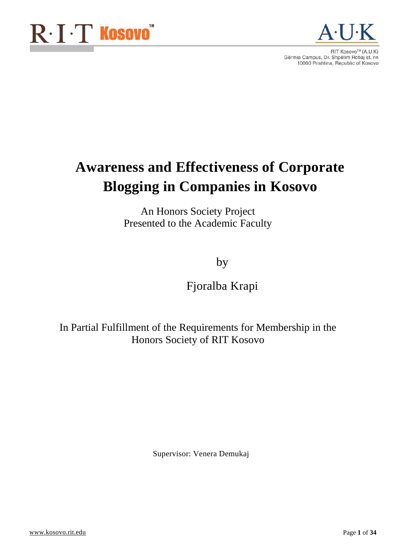

### **Awareness and Effectiveness of Corporate Blogging in Companies in Kosovo**

An Honors Society Project Presented to the Academic Faculty

by

Fjoralba Krapi

In Partial Fulfillment of the Requirements for Membership in the Honors Society of RIT Kosovo

Supervisor: Venera Demukaj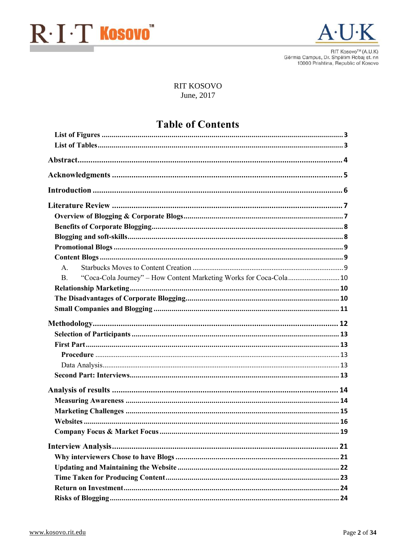



RIT Kosovo™ (A.U.K) Gërmia Campus, Dr. Shpëtim Robaj st. nn<br>10000 Prishtina, Republic of Kosovo

#### **RIT KOSOVO** June, 2017

### **Table of Contents**

| $\mathsf{A}$ .                                                                   |  |
|----------------------------------------------------------------------------------|--|
| "Coca-Cola Journey" - How Content Marketing Works for Coca-Cola 10<br><b>B</b> . |  |
|                                                                                  |  |
|                                                                                  |  |
|                                                                                  |  |
|                                                                                  |  |
|                                                                                  |  |
|                                                                                  |  |
|                                                                                  |  |
|                                                                                  |  |
|                                                                                  |  |
|                                                                                  |  |
|                                                                                  |  |
|                                                                                  |  |
|                                                                                  |  |
|                                                                                  |  |
|                                                                                  |  |
|                                                                                  |  |
|                                                                                  |  |
|                                                                                  |  |
|                                                                                  |  |
|                                                                                  |  |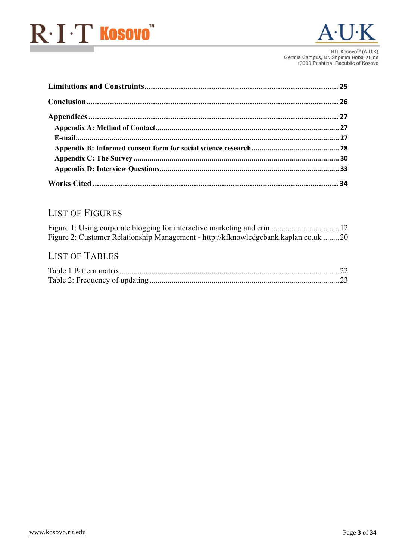

RIT Kosovo™ (A.U.K) Gërmia Campus, Dr. Shpëtim Robaj st. nn<br>10000 Prishtina, Republic of Kosovo

### <span id="page-3-0"></span>**LIST OF FIGURES**

| Figure 2: Customer Relationship Management - http://kfknowledgebank.kaplan.co.uk 20 |  |
|-------------------------------------------------------------------------------------|--|

### <span id="page-3-1"></span>**LIST OF TABLES**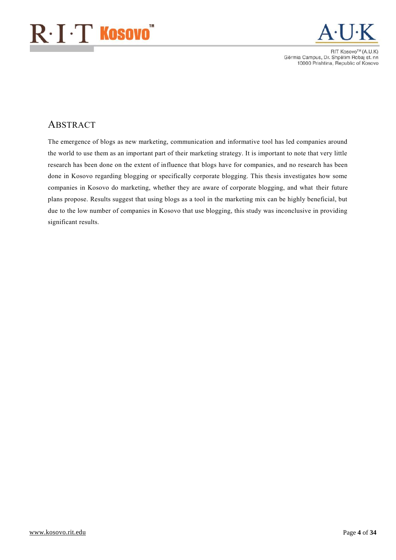

RIT Kosovo™ (A.U.K) Gërmia Campus, Dr. Shpëtim Robaj st. nn<br>10000 Prishtina, Republic of Kosovo

### <span id="page-4-0"></span>ABSTRACT

The emergence of blogs as new marketing, communication and informative tool has led companies around the world to use them as an important part of their marketing strategy. It is important to note that very little research has been done on the extent of influence that blogs have for companies, and no research has been done in Kosovo regarding blogging or specifically corporate blogging. This thesis investigates how some companies in Kosovo do marketing, whether they are aware of corporate blogging, and what their future plans propose. Results suggest that using blogs as a tool in the marketing mix can be highly beneficial, but due to the low number of companies in Kosovo that use blogging, this study was inconclusive in providing significant results.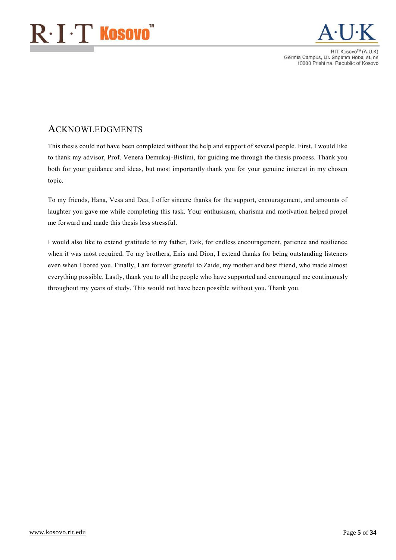

**BIT KOSOVOTM (A LLK)** Gërmia Campus, Dr. Shpëtim Robaj st. nn 10000 Prishtina, Republic of Kosovo

### <span id="page-5-0"></span>ACKNOWLEDGMENTS

This thesis could not have been completed without the help and support of several people. First, I would like to thank my advisor, Prof. Venera Demukaj-Bislimi, for guiding me through the thesis process. Thank you both for your guidance and ideas, but most importantly thank you for your genuine interest in my chosen topic.

To my friends, Hana, Vesa and Dea, I offer sincere thanks for the support, encouragement, and amounts of laughter you gave me while completing this task. Your enthusiasm, charisma and motivation helped propel me forward and made this thesis less stressful.

I would also like to extend gratitude to my father, Faik, for endless encouragement, patience and resilience when it was most required. To my brothers, Enis and Dion, I extend thanks for being outstanding listeners even when I bored you. Finally, I am forever grateful to Zaide, my mother and best friend, who made almost everything possible. Lastly, thank you to all the people who have supported and encouraged me continuously throughout my years of study. This would not have been possible without you. Thank you.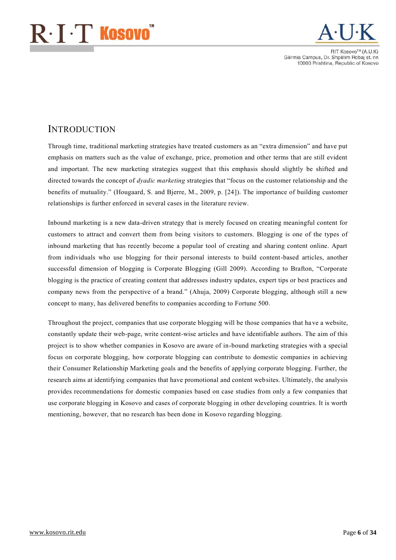## $\mathrm{R}\!\cdot\!\mathrm{I}\!\cdot\!\mathrm{T}$  Kosovo $\check{~}$



**RIT KOSOVO<sup>TM</sup>** (A LLK) Gërmia Campus, Dr. Shpëtim Robaj st. nn 10000 Prishtina, Republic of Kosovo

### <span id="page-6-0"></span>**INTRODUCTION**

Through time, traditional marketing strategies have treated customers as an "extra dimension" and have put emphasis on matters such as the value of exchange, price, promotion and other terms that are still evident and important. The new marketing strategies suggest that this emphasis should slightly be shifted and directed towards the concept of *dyadic marketing* strategies that "focus on the customer relationship and the benefits of mutuality." (Hougaard, S. and Bjerre, M., 2009, p. [24]). The importance of building customer relationships is further enforced in several cases in the literature review.

Inbound marketing is a new data-driven strategy that is merely focused on creating meaningful content for customers to attract and convert them from being visitors to customers. Blogging is one of the types of inbound marketing that has recently become a popular tool of creating and sharing content online. Apart from individuals who use blogging for their personal interests to build content-based articles, another successful dimension of blogging is Corporate Blogging (Gill 2009). According to Brafton, "Corporate blogging is the practice of creating content that addresses industry updates, expert tips or best practices and company news from the perspective of a brand." (Ahuja, 2009) Corporate blogging, although still a new concept to many, has delivered benefits to companies according to Fortune 500.

Throughout the project, companies that use corporate blogging will be those companies that ha ve a website, constantly update their web-page, write content-wise articles and have identifiable authors. The aim of this project is to show whether companies in Kosovo are aware of in-bound marketing strategies with a special focus on corporate blogging, how corporate blogging can contribute to domestic companies in achieving their Consumer Relationship Marketing goals and the benefits of applying corporate blogging. Further, the research aims at identifying companies that have promotional and content websites. Ultimately, the analysis provides recommendations for domestic companies based on case studies from only a few companies that use corporate blogging in Kosovo and cases of corporate blogging in other developing countries. It is worth mentioning, however, that no research has been done in Kosovo regarding blogging.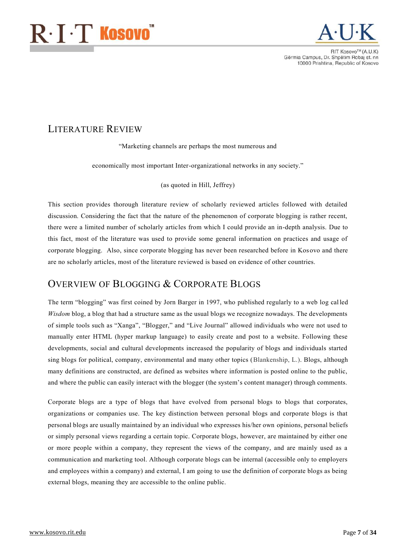## $\mathbf{R}\cdot\mathbf{I}\cdot\mathbf{T}$  Kosovo $^{\degree}$



**RIT KOSOVO™ (A LLK)** Gërmia Campus, Dr. Shpëtim Robaj st. nn 10000 Prishtina, Republic of Kosovo

### <span id="page-7-0"></span>LITERATURE REVIEW

"Marketing channels are perhaps the most numerous and

economically most important Inter-organizational networks in any society."

(as quoted in Hill, Jeffrey)

This section provides thorough literature review of scholarly reviewed articles followed with detailed discussion. Considering the fact that the nature of the phenomenon of corporate blogging is rather recent, there were a limited number of scholarly articles from which I could provide an in-depth analysis. Due to this fact, most of the literature was used to provide some general information on practices and usage of corporate blogging. Also, since corporate blogging has never been researched before in Kos ovo and there are no scholarly articles, most of the literature reviewed is based on evidence of other countries.

### <span id="page-7-1"></span>OVERVIEW OF BLOGGING & CORPORATE BLOGS

The term "blogging" was first coined by Jorn Barger in 1997, who published regularly to a web log called *Wisdom* blog, a blog that had a structure same as the usual blogs we recognize nowadays. The developments of simple tools such as "Xanga", "Blogger," and "Live Journal" allowed individuals who were not used to manually enter HTML (hyper markup language) to easily create and post to a website. Following these developments, social and cultural developments increased the popularity of blogs and individuals started sing blogs for political, company, environmental and many other topics (Blankenship, L.). Blogs, although many definitions are constructed, are defined as websites where information is posted online to the public, and where the public can easily interact with the blogger (the system's content manager) through comments.

Corporate blogs are a type of blogs that have evolved from personal blogs to blogs that corporates, organizations or companies use. The key distinction between personal blogs and corporate blogs is that personal blogs are usually maintained by an individual who expresses his/her own opinions, personal beliefs or simply personal views regarding a certain topic. Corporate blogs, however, are maintained by either one or more people within a company, they represent the views of the company, and are mainly used as a communication and marketing tool. Although corporate blogs can be internal (accessible only to employers and employees within a company) and external, I am going to use the definition of corporate blogs as being external blogs, meaning they are accessible to the online public.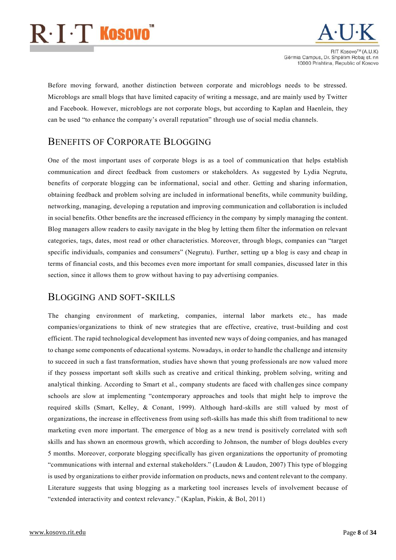## $\mathrm{R}\!\cdot\!\mathrm{I}\!\cdot\!\mathrm{T}$  Kosovo $\check{~}$



**RIT KOSOVO<sup>TM</sup>** (A LLK) Gërmia Campus, Dr. Shpëtim Robaj st. nn 10000 Prishtina, Republic of Kosovo

Before moving forward, another distinction between corporate and microblogs needs to be stressed. Microblogs are small blogs that have limited capacity of writing a message, and are mainly used by Twitter and Facebook. However, microblogs are not corporate blogs, but according to Kaplan and Haenlein, they can be used "to enhance the company's overall reputation" through use of social media channels.

### <span id="page-8-0"></span>BENEFITS OF CORPORATE BLOGGING

One of the most important uses of corporate blogs is as a tool of communication that helps establish communication and direct feedback from customers or stakeholders. As suggested by Lydia Negrutu, benefits of corporate blogging can be informational, social and other. Getting and sharing information, obtaining feedback and problem solving are included in informational benefits, while community building, networking, managing, developing a reputation and improving communication and collaboration is included in social benefits. Other benefits are the increased efficiency in the company by simply managing the content. Blog managers allow readers to easily navigate in the blog by letting them filter the information on relevant categories, tags, dates, most read or other characteristics. Moreover, through blogs, companies can "target specific individuals, companies and consumers" (Negrutu). Further, setting up a blog is easy and cheap in terms of financial costs, and this becomes even more important for small companies, discussed later in this section, since it allows them to grow without having to pay advertising companies.

### <span id="page-8-1"></span>BLOGGING AND SOFT-SKILLS

The changing environment of marketing, companies, internal labor markets etc., has made companies/organizations to think of new strategies that are effective, creative, trust-building and cost efficient. The rapid technological development has invented new ways of doing companies, and has managed to change some components of educational systems. Nowadays, in order to handle the challenge and intensity to succeed in such a fast transformation, studies have shown that young professionals are now valued more if they possess important soft skills such as creative and critical thinking, problem solving, writing and analytical thinking. According to Smart et al., company students are faced with challenges since company schools are slow at implementing "contemporary approaches and tools that might help to improve the required skills (Smart, Kelley, & Conant, 1999). Although hard-skills are still valued by most of organizations, the increase in effectiveness from using soft-skills has made this shift from traditional to new marketing even more important. The emergence of blog as a new trend is positively correlated with soft skills and has shown an enormous growth, which according to Johnson, the number of blogs doubles every 5 months. Moreover, corporate blogging specifically has given organizations the opportunity of promoting "communications with internal and external stakeholders." (Laudon & Laudon, 2007) This type of blogging is used by organizations to either provide information on products, news and content relevant to the company. Literature suggests that using blogging as a marketing tool increases levels of involvement because of "extended interactivity and context relevancy." (Kaplan, Piskin, & Bol, 2011)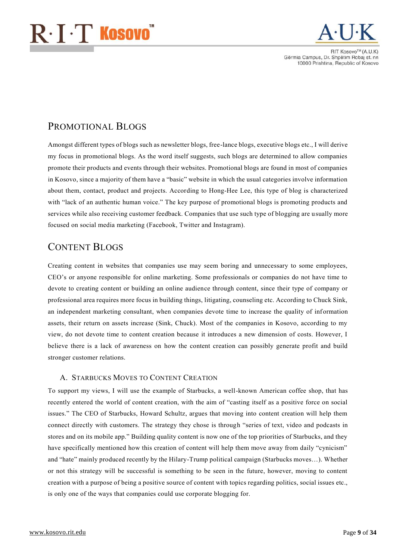## $\mathsf{R}\!\cdot\!\mathbf{I}\!\cdot\!\mathbf{T}$  Kosovo $\check{~}$



**RIT KOSOVO<sup>TM</sup>** (A LLK) Gërmia Campus, Dr. Shpëtim Robaj st. nn 10000 Prishtina, Republic of Kosovo

### <span id="page-9-0"></span>PROMOTIONAL BLOGS

Amongst different types of blogs such as newsletter blogs, free-lance blogs, executive blogs etc., I will derive my focus in promotional blogs. As the word itself suggests, such blogs are determined to allow companies promote their products and events through their websites. Promotional blogs are found in most of companies in Kosovo, since a majority of them have a "basic" website in which the usual categories involve information about them, contact, product and projects. According to Hong-Hee Lee, this type of blog is characterized with "lack of an authentic human voice." The key purpose of promotional blogs is promoting products and services while also receiving customer feedback. Companies that use such type of blogging are usually more focused on social media marketing (Facebook, Twitter and Instagram).

### <span id="page-9-1"></span>CONTENT BLOGS

Creating content in websites that companies use may seem boring and unnecessary to some employees, CEO's or anyone responsible for online marketing. Some professionals or companies do not have time to devote to creating content or building an online audience through content, since their type of company or professional area requires more focus in building things, litigating, counseling etc. According to Chuck Sink, an independent marketing consultant, when companies devote time to increase the quality of inf ormation assets, their return on assets increase (Sink, Chuck). Most of the companies in Kosovo, according to my view, do not devote time to content creation because it introduces a new dimension of costs. However, I believe there is a lack of awareness on how the content creation can possibly generate profit and build stronger customer relations.

#### <span id="page-9-2"></span>A. STARBUCKS MOVES TO CONTENT CREATION

To support my views, I will use the example of Starbucks, a well-known American coffee shop, that has recently entered the world of content creation, with the aim of "casting itself as a positive force on social issues." The CEO of Starbucks, Howard Schultz, argues that moving into content creation will help them connect directly with customers. The strategy they chose is through "series of text, video and podcasts in stores and on its mobile app." Building quality content is now one of the top priorities of Starbucks, and they have specifically mentioned how this creation of content will help them move away from daily "cynicism" and "hate" mainly produced recently by the Hilary-Trump political campaign (Starbucks moves…). Whether or not this strategy will be successful is something to be seen in the future, however, moving to content creation with a purpose of being a positive source of content with topics regarding politics, social issues etc., is only one of the ways that companies could use corporate blogging for.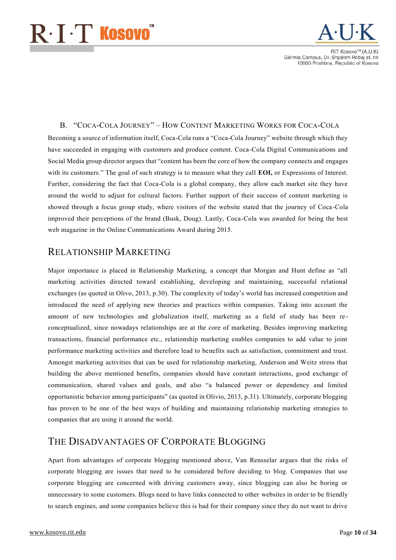## $\mathbf{R}\cdot\mathbf{I}\cdot\mathbf{T}$  Kosovo $^{\circ}$



**BIT KOSOVO<sup>TM</sup>** (A LLK) Gërmia Campus, Dr. Shpëtim Robaj st. nn 10000 Prishtina, Republic of Kosovo

#### <span id="page-10-0"></span>B. "COCA-COLA JOURNEY" – HOW CONTENT MARKETING WORKS FOR COCA-COLA

Becoming a source of information itself, Coca-Cola runs a "Coca-Cola Journey" website through which they have succeeded in engaging with customers and produce content. Coca-Cola Digital Communications and Social Media group director argues that "content has been the core of how the company connects and engages with its customers." The goal of such strategy is to measure what they call **EOI**, or Expressions of Interest. Further, considering the fact that Coca-Cola is a global company, they allow each market site they have around the world to adjust for cultural factors. Further support of their success of content marketing is showed through a focus group study, where visitors of the website stated that the journey of Coca -Cola improved their perceptions of the brand (Busk, Doug). Lastly, Coca-Cola was awarded for being the best web magazine in the Online Communications Award during 2015.

### <span id="page-10-1"></span>RELATIONSHIP MARKETING

Major importance is placed in Relationship Marketing, a concept that Morgan and Hunt define as "all marketing activities directed toward establishing, developing and maintaining, successful relational exchanges (as quoted in Olivo, 2013, p.30). The complexity of today's world has increased competition and introduced the need of applying new theories and practices within companies. Taking into account the amount of new technologies and globalization itself, marketing as a field of study has been re conceptualized, since nowadays relationships are at the core of marketing. Besides improving marketing transactions, financial performance etc., relationship marketing enables companies to add value to joint performance marketing activities and therefore lead to benefits such as satisfaction, commitment and trust. Amongst marketing activities that can be used for relationship marketing, Anderson and Weitz stress that building the above mentioned benefits, companies should have constant interactions, good exchange of communication, shared values and goals, and also "a balanced power or dependency and limited opportunistic behavior among participants" (as quoted in Olivio, 2013, p.31). Ultimately, corporate blogging has proven to be one of the best ways of building and maintaining relationship marketing strategies to companies that are using it around the world.

### <span id="page-10-2"></span>THE DISADVANTAGES OF CORPORATE BLOGGING

Apart from advantages of corporate blogging mentioned above, Van Rensselar argues that the risks of corporate blogging are issues that need to be considered before deciding to blog. Companies that use corporate blogging are concerned with driving customers away, since blogging can also be boring or unnecessary to some customers. Blogs need to have links connected to other websites in order to be friendly to search engines, and some companies believe this is bad for their company since they do not want to drive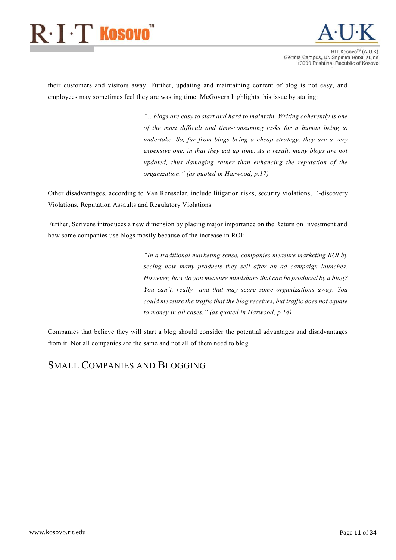

**RIT KOSOVO™ (A LLK)** Gërmia Campus, Dr. Shpëtim Robaj st. nn 10000 Prishtina, Republic of Kosovo

their customers and visitors away. Further, updating and maintaining content of blog is not easy, and employees may sometimes feel they are wasting time. McGovern highlights this issue by stating:

> *"…blogs are easy to start and hard to maintain. Writing coherently is one of the most difficult and time-consuming tasks for a human being to undertake. So, far from blogs being a cheap strategy, they are a very expensive one, in that they eat up time. As a result, many blogs are not updated, thus damaging rather than enhancing the reputation of the organization." (as quoted in Harwood, p.17)*

Other disadvantages, according to Van Rensselar, include litigation risks, security violations, E-discovery Violations, Reputation Assaults and Regulatory Violations.

Further, Scrivens introduces a new dimension by placing major importance on the Return on Investment and how some companies use blogs mostly because of the increase in ROI:

> *"In a traditional marketing sense, companies measure marketing ROI by seeing how many products they sell after an ad campaign launches. However, how do you measure mindshare that can be produced by a blog? You can't, really—and that may scare some organizations away. You could measure the traffic that the blog receives, but traffic does not equate to money in all cases." (as quoted in Harwood, p.14)*

Companies that believe they will start a blog should consider the potential advantages and disadvantages from it. Not all companies are the same and not all of them need to blog.

### <span id="page-11-0"></span>SMALL COMPANIES AND BLOGGING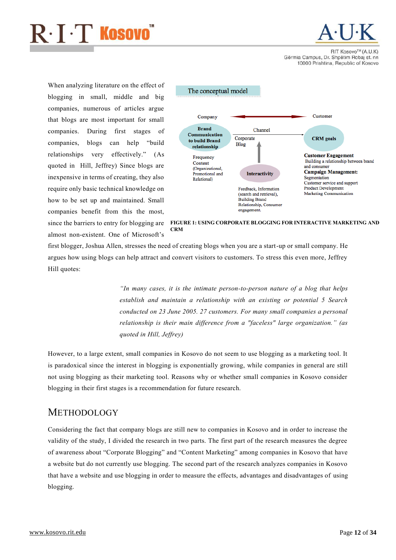

**BIT KOSOVO<sup>TM</sup>** (A LLK) Gërmia Campus, Dr. Shpëtim Robaj st. nn 10000 Prishtina, Republic of Kosovo

When analyzing literature on the effect of blogging in small, middle and big companies, numerous of articles argue that blogs are most important for small companies. During first stages of companies, blogs can help "build relationships very effectively." (As quoted in Hill, Jeffrey) Since blogs are inexpensive in terms of creating, they also require only basic technical knowledge on how to be set up and maintained. Small companies benefit from this the most, since the barriers to entry for blogging are

almost non-existent. One of Microsoft's



FIGURE 1: USING CORPORATE BLOGGING FOR INTERACTIVE MARKETING AND CRM

first blogger, Joshua Allen, stresses the need of creating blogs when you are a start-up or small company. He argues how using blogs can help attract and convert visitors to customers. To stress this even more, Jeffrey Hill quotes:

> *"In many cases, it is the intimate person-to-person nature of a blog that helps establish and maintain a relationship with an existing or potential 5 Search conducted on 23 June 2005. 27 customers. For many small companies a personal relationship is their main difference from a "faceless" large organization." (as quoted in Hill, Jeffrey)*

However, to a large extent, small companies in Kosovo do not seem to use blogging as a marketing tool. It is paradoxical since the interest in blogging is exponentially growing, while companies in general are still not using blogging as their marketing tool. Reasons why or whether small companies in Kosovo consider blogging in their first stages is a recommendation for future research.

### <span id="page-12-0"></span>**METHODOLOGY**

Considering the fact that company blogs are still new to companies in Kosovo and in order to increase the validity of the study, I divided the research in two parts. The first part of the research measures the degree of awareness about "Corporate Blogging" and "Content Marketing" among companies in Kosovo that have a website but do not currently use blogging. The second part of the research analyzes companies in Kosovo that have a website and use blogging in order to measure the effects, advantages and disadvantages of using blogging.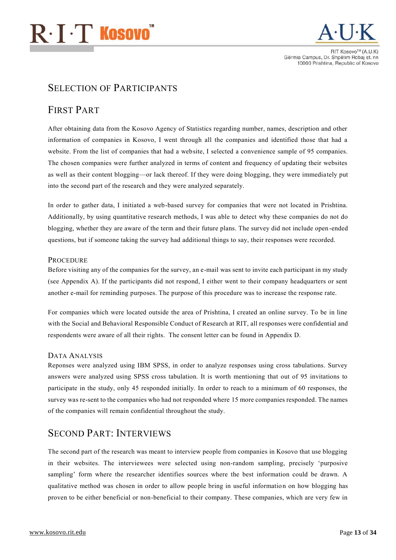<span id="page-13-2"></span>

### <span id="page-13-0"></span>SELECTION OF PARTICIPANTS

### <span id="page-13-1"></span>FIRST PART

After obtaining data from the Kosovo Agency of Statistics regarding number, names, description and other information of companies in Kosovo, I went through all the companies and identified those that had a website. From the list of companies that had a website, I selected a convenience sample of 95 companies. The chosen companies were further analyzed in terms of content and frequency of updating their websites as well as their content blogging—or lack thereof. If they were doing blogging, they were immediately put into the second part of the research and they were analyzed separately.

In order to gather data, I initiated a web-based survey for companies that were not located in Prishtina. Additionally, by using quantitative research methods, I was able to detect why these companies do not do blogging, whether they are aware of the term and their future plans. The survey did not include open -ended questions, but if someone taking the survey had additional things to say, their responses were recorded.

#### **PROCEDURE**

Before visiting any of the companies for the survey, an e-mail was sent to invite each participant in my study (see Appendix A). If the participants did not respond, I either went to their company headquarters or sent another e-mail for reminding purposes. The purpose of this procedure was to increase the response rate.

For companies which were located outside the area of Prishtina, I created an online survey. To be in line with the Social and Behavioral Responsible Conduct of Research at RIT, all responses were confidential and respondents were aware of all their rights. The consent letter can be found in Appendix D.

#### <span id="page-13-3"></span>DATA ANALYSIS

Reponses were analyzed using IBM SPSS, in order to analyze responses using cross tabulations. Survey answers were analyzed using SPSS cross tabulation. It is worth mentioning that out of 95 invitations to participate in the study, only 45 responded initially. In order to reach to a minimum of 60 responses, the survey was re-sent to the companies who had not responded where 15 more companies responded. The names of the companies will remain confidential throughout the study.

### <span id="page-13-4"></span>SECOND PART: INTERVIEWS

The second part of the research was meant to interview people from companies in Kosovo that use blogging in their websites. The interviewees were selected using non-random sampling, precisely 'purposive sampling' form where the researcher identifies sources where the best information could be drawn. A qualitative method was chosen in order to allow people bring in useful information on how blogging has proven to be either beneficial or non-beneficial to their company. These companies, which are very few in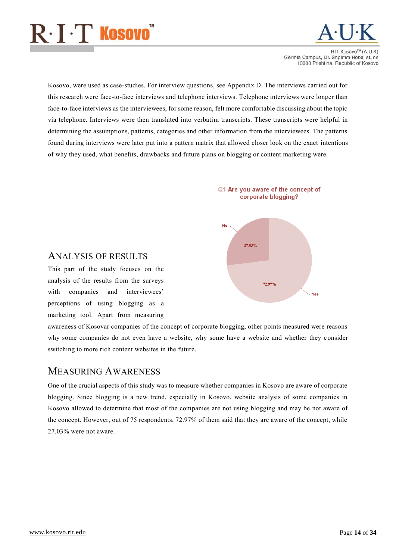

**RIT KOSOVO<sup>TM</sup>** (A LLK) Gërmia Campus, Dr. Shpëtim Robaj st. nn 10000 Prishtina, Republic of Kosovo

Kosovo, were used as case-studies. For interview questions, see Appendix D. The interviews carried out for this research were face-to-face interviews and telephone interviews. Telephone interviews were longer than face-to-face interviews as the interviewees, for some reason, felt more comfortable discussing about the topic via telephone. Interviews were then translated into verbatim transcripts. These transcripts were helpful in determining the assumptions, patterns, categories and other information from the interviewees. The patterns found during interviews were later put into a pattern matrix that allowed closer look on the exact intentions of why they used, what benefits, drawbacks and future plans on blogging or content marketing were.





#### <span id="page-14-0"></span>ANALYSIS OF RESULTS

This part of the study focuses on the analysis of the results from the surveys with companies and interviewees' perceptions of using blogging as a marketing tool. Apart from measuring

awareness of Kosovar companies of the concept of corporate blogging, other points measured were reasons why some companies do not even have a website, why some have a website and whether they consider switching to more rich content websites in the future.

### <span id="page-14-1"></span>MEASURING AWARENESS

One of the crucial aspects of this study was to measure whether companies in Kosovo are aware of corporate blogging. Since blogging is a new trend, especially in Kosovo, website analysis of some companies in Kosovo allowed to determine that most of the companies are not using blogging and may be not aware of the concept. However, out of 75 respondents, 72.97% of them said that they are aware of the concept, while 27.03% were not aware.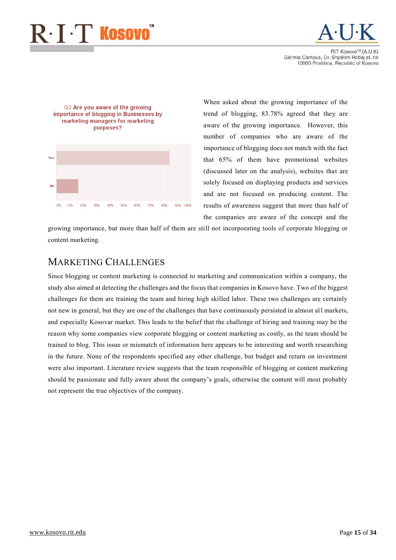

**RIT KOSOVOTM (A LLK)** Gërmia Campus, Dr. Shpëtim Robaj st. nn 10000 Prishtina, Republic of Kosovo



When asked about the growing importance of the trend of blogging, 83.78% agreed that they are aware of the growing importance. However, this number of companies who are aware of the importance of blogging does not match with the fact that 65% of them have promotional websites (discussed later on the analysis), websites that are solely focused on displaying products and services and are not focused on producing content. The results of awareness suggest that more than half of the companies are aware of the concept and the

growing importance, but more than half of them are still not incorporating tools of corporate blogging or content marketing.

### <span id="page-15-0"></span>MARKETING CHALLENGES

Since blogging or content marketing is connected to marketing and communication within a company, the study also aimed at detecting the challenges and the focus that companies in Kosovo have. Two of the biggest challenges for them are training the team and hiring high skilled labor. These two challenges are certainly not new in general, but they are one of the challenges that have continuously persisted in almost all markets, and especially Kosovar market. This leads to the belief that the challenge of hiring and training may be the reason why some companies view corporate blogging or content marketing as costly, as the team should be trained to blog. This issue or mismatch of information here appears to be interesting and worth researching in the future. None of the respondents specified any other challenge, but budget and return on investment were also important. Literature review suggests that the team responsible of blogging or content marketing should be passionate and fully aware about the company's goals, otherwise the content will most probably not represent the true objectives of the company.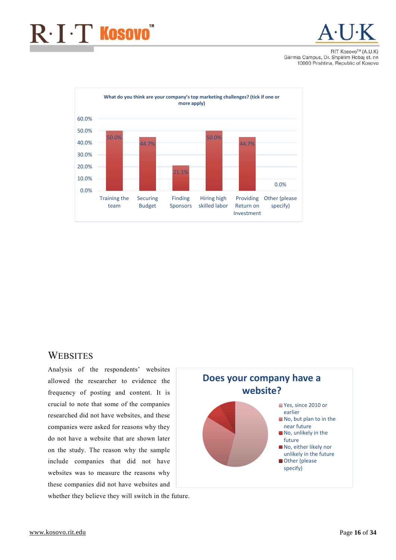

**BIT KOSOVOTM (A LLK)** Gërmia Campus, Dr. Shpëtim Robaj st. nn 10000 Prishtina, Republic of Kosovo



### <span id="page-16-0"></span>**WEBSITES**

Analysis of the respondents' websites allowed the researcher to evidence the frequency of posting and content. It is crucial to note that some of the companies researched did not have websites, and these companies were asked for reasons why they do not have a website that are shown later on the study. The reason why the sample include companies that did not have websites was to measure the reasons why these companies did not have websites and whether they believe they will switch in the future.

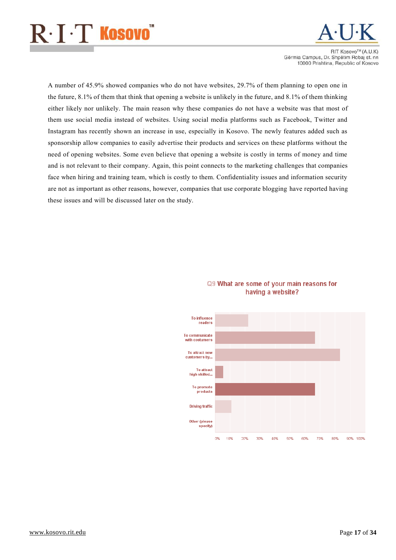

RIT Kosovo™ (A.U.K) Gërmia Campus, Dr. Shpëtim Robaj st. nn 10000 Prishtina, Republic of Kosovo

A number of 45.9% showed companies who do not have websites, 29.7% of them planning to open one in the future, 8.1% of them that think that opening a website is unlikely in the future, and 8.1% of them thinking either likely nor unlikely. The main reason why these companies do not have a website was that most of them use social media instead of websites. Using social media platforms such as Facebook, Twitter and Instagram has recently shown an increase in use, especially in Kosovo. The newly features added such as sponsorship allow companies to easily advertise their products and services on these platforms without the need of opening websites. Some even believe that opening a website is costly in terms of money and time and is not relevant to their company. Again, this point connects to the marketing challenges that companies face when hiring and training team, which is costly to them. Confidentiality issues and information security are not as important as other reasons, however, companies that use corporate blogging have reported having these issues and will be discussed later on the study.



#### Q9 What are some of your main reasons for having a website?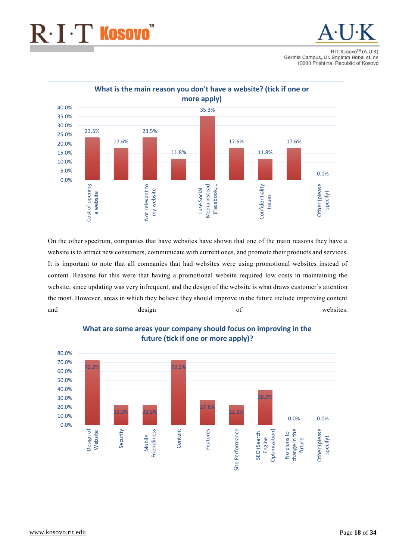## $\mathrm{R}\!\cdot\!\mathrm{I}\!\cdot\!\mathrm{T}$  Kosovo $\check{ }$



**RIT KOSOVOTM (A LLK)** Gërmia Campus, Dr. Shpëtim Robaj st. nn 10000 Prishtina, Republic of Kosovo



On the other spectrum, companies that have websites have shown that one of the main reasons they have a website is to attract new consumers, communicate with current ones, and promote their products and services. It is important to note that all companies that had websites were using promotional websites instead of content. Reasons for this were that having a promotional website required low costs in maintaining the website, since updating was very infrequent, and the design of the website is what draws customer's attention the most. However, areas in which they believe they should improve in the future include improving content and design design of websites.

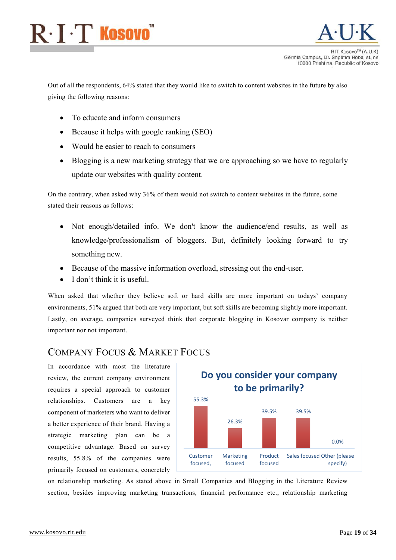

Out of all the respondents, 64% stated that they would like to switch to content websites in the future by also giving the following reasons:

- To educate and inform consumers
- Because it helps with google ranking (SEO)
- Would be easier to reach to consumers
- Blogging is a new marketing strategy that we are approaching so we have to regularly update our websites with quality content.

On the contrary, when asked why 36% of them would not switch to content websites in the future, some stated their reasons as follows:

- Not enough/detailed info. We don't know the audience/end results, as well as knowledge/professionalism of bloggers. But, definitely looking forward to try something new.
- Because of the massive information overload, stressing out the end-user.
- I don't think it is useful.

When asked that whether they believe soft or hard skills are more important on todays' company environments, 51% argued that both are very important, but soft skills are becoming slightly more important. Lastly, on average, companies surveyed think that corporate blogging in Kosovar company is neither important nor not important.

### <span id="page-19-0"></span>COMPANY FOCUS & MARKET FOCUS

In accordance with most the literature review, the current company environment requires a special approach to customer relationships. Customers are a key component of marketers who want to deliver a better experience of their brand. Having a strategic marketing plan can be a competitive advantage. Based on survey results, 55.8% of the companies were primarily focused on customers, concretely



on relationship marketing. As stated above in Small Companies and Blogging in the Literature Review section, besides improving marketing transactions, financial performance etc., relationship marketing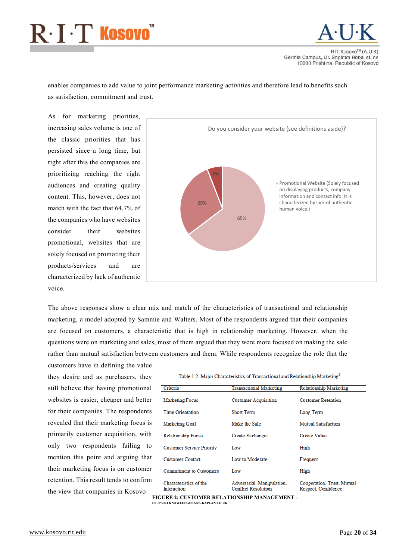## $R \cdot I \cdot T$  Kosovo $\tilde{R}$



**BIT KOSOVO<sup>TM</sup>** (A LLK) Gërmia Campus, Dr. Shpëtim Robaj st. nn 10000 Prishtina, Republic of Kosovo

enables companies to add value to joint performance marketing activities and therefore lead to benefits such as satisfaction, commitment and trust.

As for marketing priorities, increasing sales volume is one of the classic priorities that has persisted since a long time, but right after this the companies are prioritizing reaching the right audiences and creating quality content. This, however, does not match with the fact that 64.7% of the companies who have websites consider their websites promotional, websites that are solely focused on promoting their products/services and are characterized by lack of authentic voice.



The above responses show a clear mix and match of the characteristics of transactional and relationship marketing, a model adopted by Sammie and Walters. Most of the respondents argued that their companies are focused on customers, a characteristic that is high in relationship marketing. However, when the questions were on marketing and sales, most of them argued that they were more focused on making the sale rather than mutual satisfaction between customers and them. While respondents recognize the role that the

customers have in defining the value they desire and as purchasers, they still believe that having promotional websites is easier, cheaper and better for their companies. The respondents revealed that their marketing focus is primarily customer acquisition, with only two respondents failing to mention this point and arguing that their marketing focus is on customer retention. This result tends to confirm the view that companies in Kosovo

Table 1.2: Major Characteristics of Transactional and Relationship Marketing<sup>2</sup>

| Criteria                              | <b>Transactional Marketing</b>                           | <b>Relationship Marketing</b>                     |
|---------------------------------------|----------------------------------------------------------|---------------------------------------------------|
| <b>Marketing Focus</b>                | <b>Customer Acquisition</b>                              | <b>Customer Retention</b>                         |
| <b>Time Orientation</b>               | <b>Short Term</b>                                        | Long Term                                         |
| <b>Marketing Goal</b>                 | Make the Sale                                            | <b>Mutual Satisfaction</b>                        |
| <b>Relationship Focus</b>             | <b>Create Exchanges</b>                                  | Create Value                                      |
| <b>Customer Service Priority</b>      | Low                                                      | High                                              |
| <b>Customer Contact</b>               | Low to Moderate                                          | Frequent                                          |
| <b>Commitment to Customers</b>        | Low                                                      | High                                              |
| Characteristics of the<br>Interaction | Adversarial, Manipulation,<br><b>Conflict Resolution</b> | Cooperation, Trust, Mutual<br>Respect. Confidence |

FIGURE 2: CUSTOMER RELATIONSHIP MANAGEMENT - HTTP://KFKNOWLEDGEBANK.KAPLAN.CO.UK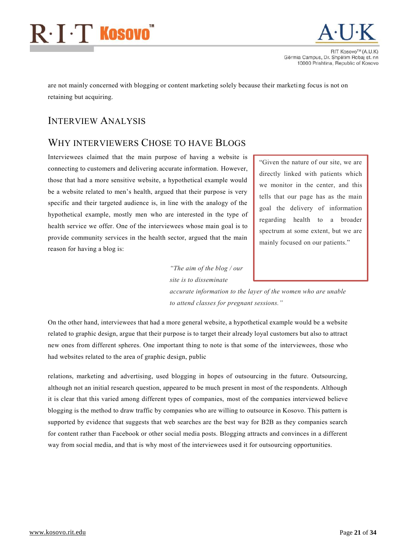## $R \cdot I \cdot T$  Kosovo $\tilde{ }$



**RIT KOSOVO™ (A II K** Gërmia Campus, Dr. Shpëtim Robaj st. nn 10000 Prishtina, Republic of Kosovo

are not mainly concerned with blogging or content marketing solely because their marketing focus is not on retaining but acquiring.

### <span id="page-21-0"></span>INTERVIEW ANALYSIS

### <span id="page-21-1"></span>WHY INTERVIEWERS CHOSE TO HAVE BLOGS

Interviewees claimed that the main purpose of having a website is connecting to customers and delivering accurate information. However, those that had a more sensitive website, a hypothetical example would be a website related to men's health, argued that their purpose is very specific and their targeted audience is, in line with the analogy of the hypothetical example, mostly men who are interested in the type of health service we offer. One of the interviewees whose main goal is to provide community services in the health sector, argued that the main reason for having a blog is:

"Given the nature of our site, we are directly linked with patients which we monitor in the center, and this tells that our page has as the main goal the delivery of information regarding health to a broader spectrum at some extent, but we are mainly focused on our patients."

*"The aim of the blog / our site is to disseminate* 

*accurate information to the layer of the women who are unable to attend classes for pregnant sessions."*

On the other hand, interviewees that had a more general website, a hypothetical example would be a website related to graphic design, argue that their purpose is to target their already loyal customers but also to attract new ones from different spheres. One important thing to note is that some of the interviewees, those who had websites related to the area of graphic design, public

relations, marketing and advertising, used blogging in hopes of outsourcing in the future. Outsourcing, although not an initial research question, appeared to be much present in most of the respondents. Although it is clear that this varied among different types of companies, most of the companies interviewed believe blogging is the method to draw traffic by companies who are willing to outsource in Kosovo. This pattern is supported by evidence that suggests that web searches are the best way for B2B as they companies search for content rather than Facebook or other social media posts. Blogging attracts and convinces in a different way from social media, and that is why most of the interviewees used it for outsourcing opportunities.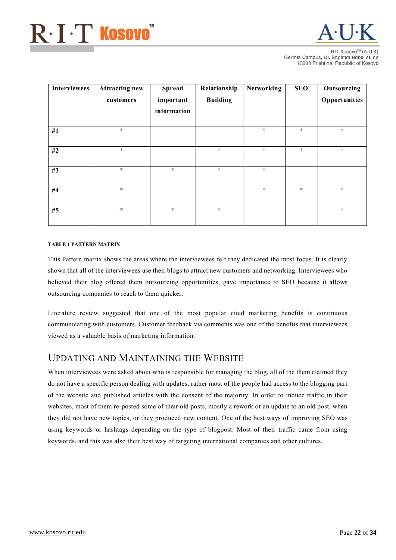

**BIT KOSOVOTM (A LLK)** Gërmia Campus, Dr. Shpëtim Robaj st. nn 10000 Prishtina, Republic of Kosovo

| Interviewees | <b>Attracting new</b><br>customers | <b>Spread</b><br>important<br>information | Relationship<br><b>Building</b> | <b>Networking</b> | <b>SEO</b> | Outsourcing<br>Opportunities |
|--------------|------------------------------------|-------------------------------------------|---------------------------------|-------------------|------------|------------------------------|
| #1           | $\ast$                             |                                           |                                 | $\ast$            | $\ast$     | $\ast$                       |
| #2           | $\ast$                             |                                           | $\ast$                          | $\ast$            | $\ast$     | $\ast$                       |
| #3           | $\ast$                             | $\ast$                                    | $\ast$                          | $\ast$            |            |                              |
| #4           | $\ast$                             |                                           |                                 | $\ast$            | $\ast$     | $\ast$                       |
| #5           | $\ast$                             | $\ast$                                    | $\ast$                          |                   |            | $\ast$                       |

#### TABLE 1 PATTERN MATRIX

This Pattern matrix shows the areas where the interviewees felt they dedicated the most focus. It is clearly shown that all of the interviewees use their blogs to attract new customers and networking. Interviewees who believed their blog offered them outsourcing opportunities, gave importance to SEO because it allows outsourcing companies to reach to them quicker.

Literature review suggested that one of the most popular cited marketing benefits is continuous communicating with customers. Customer feedback via comments was one of the benefits that interviewees viewed as a valuable basis of marketing information.

### <span id="page-22-0"></span>UPDATING AND MAINTAINING THE WEBSITE

When interviewees were asked about who is responsible for managing the blog, all of the them claimed they do not have a specific person dealing with updates, rather most of the people had access to the blogging part of the website and published articles with the consent of the majority. In order to induce traffic in their websites, most of them re-posted some of their old posts, mostly a rework or an update to an old post, when they did not have new topics, or they produced new content. One of the best ways of improving SEO was using keywords or hashtags depending on the type of blogpost. Most of their traffic came from using keywords, and this was also their best way of targeting international companies and other cultures.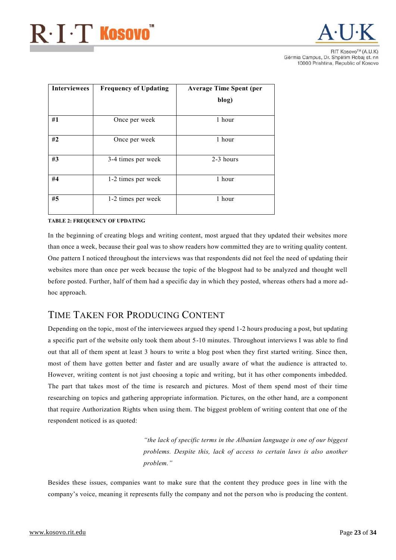

| <b>Interviewees</b> | <b>Frequency of Updating</b> | <b>Average Time Spent (per</b><br>blog) |
|---------------------|------------------------------|-----------------------------------------|
| #1                  | Once per week                | 1 hour                                  |
| #2                  | Once per week                | 1 hour                                  |
| #3                  | 3-4 times per week           | 2-3 hours                               |
| #4                  | 1-2 times per week           | 1 hour                                  |
| #5                  | 1-2 times per week           | 1 hour                                  |

#### TABLE 2: FREQUENCY OF UPDATING

In the beginning of creating blogs and writing content, most argued that they updated their websites more than once a week, because their goal was to show readers how committed they are to writing quality content. One pattern I noticed throughout the interviews was that respondents did not feel the need of updating their websites more than once per week because the topic of the blogpost had to be analyzed and thought well before posted. Further, half of them had a specific day in which they posted, whereas others had a more adhoc approach.

### <span id="page-23-0"></span>TIME TAKEN FOR PRODUCING CONTENT

Depending on the topic, most of the interviewees argued they spend 1-2 hours producing a post, but updating a specific part of the website only took them about 5-10 minutes. Throughout interviews I was able to find out that all of them spent at least 3 hours to write a blog post when they first started writing. Since then, most of them have gotten better and faster and are usually aware of what the audience is attracted to. However, writing content is not just choosing a topic and writing, but it has other components imbedded. The part that takes most of the time is research and pictures. Most of them spend most of their time researching on topics and gathering appropriate information. Pictures, on the other hand, are a component that require Authorization Rights when using them. The biggest problem of writing content that one of the respondent noticed is as quoted:

> *"the lack of specific terms in the Albanian language is one of our biggest problems. Despite this, lack of access to certain laws is also another problem."*

Besides these issues, companies want to make sure that the content they produce goes in line with the company's voice, meaning it represents fully the company and not the person who is producing the content.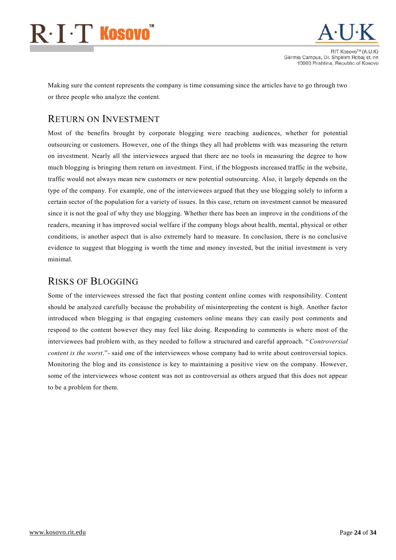# $\mathsf{R}\!\cdot\!\mathbf{I}\!\cdot\!\mathbf{T}$  Kosovo $\check{~}$



**RIT KOSOVO™ (A II K** Gërmia Campus, Dr. Shpëtim Robaj st. nn 10000 Prishtina, Republic of Kosovo

Making sure the content represents the company is time consuming since the articles have to go through two or three people who analyze the content.

### <span id="page-24-0"></span>RETURN ON INVESTMENT

Most of the benefits brought by corporate blogging were reaching audiences, whether for potential outsourcing or customers. However, one of the things they all had problems with was measuring the return on investment. Nearly all the interviewees argued that there are no tools in measuring the degree to how much blogging is bringing them return on investment. First, if the blogposts increased traffic in the website, traffic would not always mean new customers or new potential outsourcing. Also, it largely depends on the type of the company. For example, one of the interviewees argued that they use blogging solely to inform a certain sector of the population for a variety of issues. In this case, return on investment cannot be measured since it is not the goal of why they use blogging. Whether there has been an improve in the conditions of the readers, meaning it has improved social welfare if the company blogs about health, mental, physical or other conditions, is another aspect that is also extremely hard to measure. In conclusion, there is no conclusive evidence to suggest that blogging is worth the time and money invested, but the initial investment is very minimal.

### <span id="page-24-1"></span>RISKS OF BLOGGING

Some of the interviewees stressed the fact that posting content online comes with responsibility. Content should be analyzed carefully because the probability of misinterpreting the content is high. Another factor introduced when blogging is that engaging customers online means they can easily post comments and respond to the content however they may feel like doing. Responding to comments is where most of the interviewees had problem with, as they needed to follow a structured and careful approach. "*Controversial content is the worst*."- said one of the interviewees whose company had to write about controversial topics. Monitoring the blog and its consistence is key to maintaining a positive view on the company. However, some of the interviewees whose content was not as controversial as others argued that this does not appear to be a problem for them.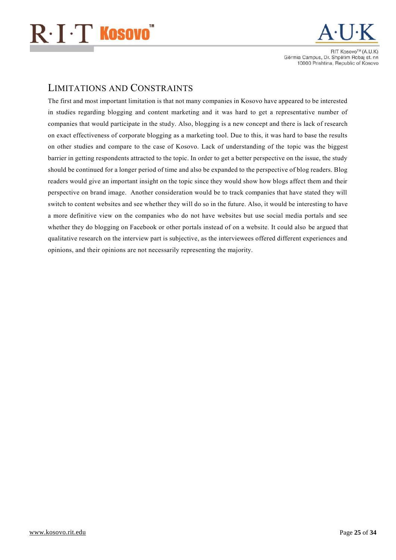## $\mathbf{R}\cdot\mathbf{I}\cdot\mathbf{T}$  Kosovo $^{\circ}$



**BIT KOSOVOTM (A LLK)** Gërmia Campus, Dr. Shpëtim Robaj st. nn 10000 Prishtina, Republic of Kosovo

### <span id="page-25-0"></span>LIMITATIONS AND CONSTRAINTS

<span id="page-25-1"></span>The first and most important limitation is that not many companies in Kosovo have appeared to be interested in studies regarding blogging and content marketing and it was hard to get a representative number of companies that would participate in the study. Also, blogging is a new concept and there is lack of research on exact effectiveness of corporate blogging as a marketing tool. Due to this, it was hard to base the results on other studies and compare to the case of Kosovo. Lack of understanding of the topic was the biggest barrier in getting respondents attracted to the topic. In order to get a better perspective on the issue, the study should be continued for a longer period of time and also be expanded to the perspective of blog readers. Blog readers would give an important insight on the topic since they would show how blogs affect them and their perspective on brand image. Another consideration would be to track companies that have stated they will switch to content websites and see whether they will do so in the future. Also, it would be interesting to have a more definitive view on the companies who do not have websites but use social media portals and see whether they do blogging on Facebook or other portals instead of on a website. It could also be argued that qualitative research on the interview part is subjective, as the interviewees offered different experiences and opinions, and their opinions are not necessarily representing the majority.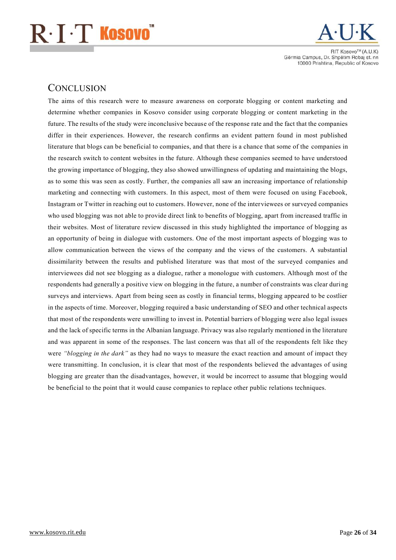

**RIT KOSOVOTM (A LLK)** Gërmia Campus, Dr. Shpëtim Robaj st. nn 10000 Prishtina, Republic of Kosovo

### **CONCLUSION**

The aims of this research were to measure awareness on corporate blogging or content marketing and determine whether companies in Kosovo consider using corporate blogging or content marketing in the future. The results of the study were inconclusive because of the response rate and the fact that the companies differ in their experiences. However, the research confirms an evident pattern found in most published literature that blogs can be beneficial to companies, and that there is a chance that some of the companies in the research switch to content websites in the future. Although these companies seemed to have understood the growing importance of blogging, they also showed unwillingness of updating and maintaining the blogs, as to some this was seen as costly. Further, the companies all saw an increasing importance of relationship marketing and connecting with customers. In this aspect, most of them were focused on using Facebook, Instagram or Twitter in reaching out to customers. However, none of the interviewees or surveyed companies who used blogging was not able to provide direct link to benefits of blogging, apart from increased traffic in their websites. Most of literature review discussed in this study highlighted the importance of blogging as an opportunity of being in dialogue with customers. One of the most important aspects of blogging was to allow communication between the views of the company and the views of the customers. A substantial dissimilarity between the results and published literature was that most of the surveyed companies and interviewees did not see blogging as a dialogue, rather a monologue with customers. Although most of the respondents had generally a positive view on blogging in the future, a number of constraints was clear during surveys and interviews. Apart from being seen as costly in financial terms, blogging appeared to be costlier in the aspects of time. Moreover, blogging required a basic understanding of SEO and other technical aspects that most of the respondents were unwilling to invest in. Potential barriers of blogging were also legal issues and the lack of specific terms in the Albanian language. Privacy was also regularly mentioned in the literature and was apparent in some of the responses. The last concern was that all of the respondents felt like they were *"blogging in the dark"* as they had no ways to measure the exact reaction and amount of impact they were transmitting. In conclusion, it is clear that most of the respondents believed the advantages of using blogging are greater than the disadvantages, however, it would be incorrect to assume that blogging would be beneficial to the point that it would cause companies to replace other public relations techniques.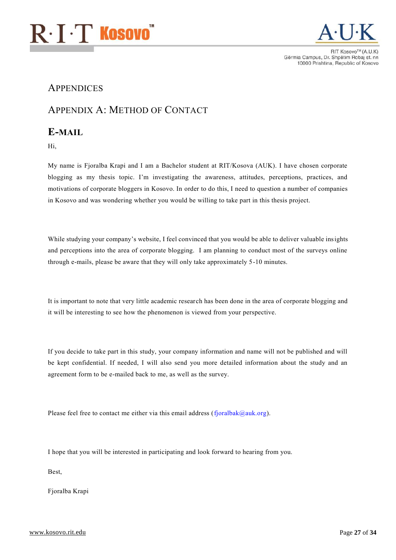



### <span id="page-27-0"></span>**APPENDICES**

### <span id="page-27-1"></span>APPENDIX A: METHOD OF CONTACT

### <span id="page-27-2"></span>E-MAIL

Hi,

My name is Fjoralba Krapi and I am a Bachelor student at RIT/Kosova (AUK). I have chosen corporate blogging as my thesis topic. I'm investigating the awareness, attitudes, perceptions, practices, and motivations of corporate bloggers in Kosovo. In order to do this, I need to question a number of companies in Kosovo and was wondering whether you would be willing to take part in this thesis project.

While studying your company's website, I feel convinced that you would be able to deliver valuable insights and perceptions into the area of corporate blogging. I am planning to conduct most of the surveys online through e-mails, please be aware that they will only take approximately 5-10 minutes.

It is important to note that very little academic research has been done in the area of corporate blogging and it will be interesting to see how the phenomenon is viewed from your perspective.

If you decide to take part in this study, your company information and name will not be published and will be kept confidential. If needed, I will also send you more detailed information about the study and an agreement form to be e-mailed back to me, as well as the survey.

Please feel free to contact me either via this email address (fjoralbak@auk.org).

I hope that you will be interested in participating and look forward to hearing from you.

Best,

Fjoralba Krapi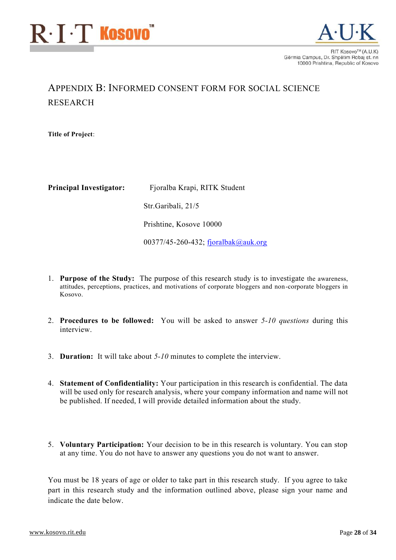



### <span id="page-28-0"></span>APPENDIX B: INFORMED CONSENT FORM FOR SOCIAL SCIENCE RESEARCH

Title of Project:

Principal Investigator: Fjoralba Krapi, RITK Student Str.Garibali, 21/5 Prishtine, Kosove 10000 00377/45-260-432; [fjoralbak@auk.org](mailto:email@auk.org)

- 1. Purpose of the Study: The purpose of this research study is to investigate the awareness, attitudes, perceptions, practices, and motivations of corporate bloggers and non-corporate bloggers in Kosovo.
- 2. Procedures to be followed: You will be asked to answer *5-10 questions* during this interview.
- 3. Duration: It will take about *5-10* minutes to complete the interview.
- 4. Statement of Confidentiality: Your participation in this research is confidential. The data will be used only for research analysis, where your company information and name will not be published. If needed, I will provide detailed information about the study.
- 5. Voluntary Participation: Your decision to be in this research is voluntary. You can stop at any time. You do not have to answer any questions you do not want to answer.

You must be 18 years of age or older to take part in this research study. If you agree to take part in this research study and the information outlined above, please sign your name and indicate the date below.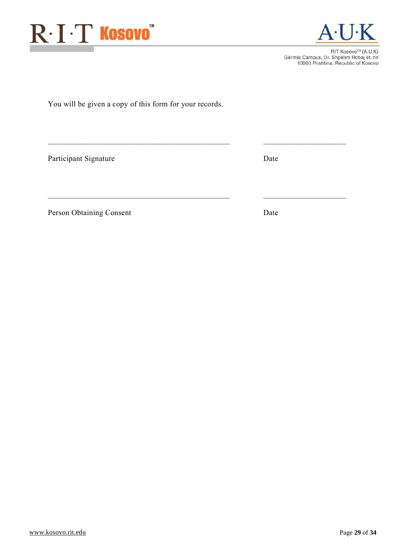

RIT Kosovo™ (A.U.K) Gërmia Campus, Dr. Shpëtim Robaj st. nn<br>10000 Prishtina, Republic of Kosovo

You will be given a copy of this form for your records.

 $\mathcal{L}_\text{max} = \mathcal{L}_\text{max} = \mathcal{L}_\text{max} = \mathcal{L}_\text{max} = \mathcal{L}_\text{max} = \mathcal{L}_\text{max} = \mathcal{L}_\text{max} = \mathcal{L}_\text{max} = \mathcal{L}_\text{max} = \mathcal{L}_\text{max} = \mathcal{L}_\text{max} = \mathcal{L}_\text{max} = \mathcal{L}_\text{max} = \mathcal{L}_\text{max} = \mathcal{L}_\text{max} = \mathcal{L}_\text{max} = \mathcal{L}_\text{max} = \mathcal{L}_\text{max} = \mathcal{$ 

 $\mathcal{L}_\text{max} = \mathcal{L}_\text{max} = \mathcal{L}_\text{max} = \mathcal{L}_\text{max} = \mathcal{L}_\text{max} = \mathcal{L}_\text{max} = \mathcal{L}_\text{max} = \mathcal{L}_\text{max} = \mathcal{L}_\text{max} = \mathcal{L}_\text{max} = \mathcal{L}_\text{max} = \mathcal{L}_\text{max} = \mathcal{L}_\text{max} = \mathcal{L}_\text{max} = \mathcal{L}_\text{max} = \mathcal{L}_\text{max} = \mathcal{L}_\text{max} = \mathcal{L}_\text{max} = \mathcal{$ 

Participant Signature Date

Person Obtaining Consent Date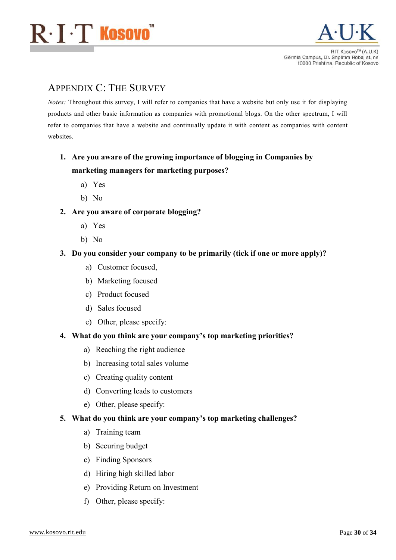



### <span id="page-30-0"></span>APPENDIX C: THE SURVEY

*Notes:* Throughout this survey, I will refer to companies that have a website but only use it for displaying products and other basic information as companies with promotional blogs. On the other spectrum, I will refer to companies that have a website and continually update it with content as companies with content websites.

### 1. Are you aware of the growing importance of blogging in Companies by marketing managers for marketing purposes?

- a) Yes
- b) No
- 2. Are you aware of corporate blogging?
	- a) Yes
	- b) No

#### 3. Do you consider your company to be primarily (tick if one or more apply)?

- a) Customer focused,
- b) Marketing focused
- c) Product focused
- d) Sales focused
- e) Other, please specify:

#### 4. What do you think are your company's top marketing priorities?

- a) Reaching the right audience
- b) Increasing total sales volume
- c) Creating quality content
- d) Converting leads to customers
- e) Other, please specify:

#### 5. What do you think are your company's top marketing challenges?

- a) Training team
- b) Securing budget
- c) Finding Sponsors
- d) Hiring high skilled labor
- e) Providing Return on Investment
- f) Other, please specify: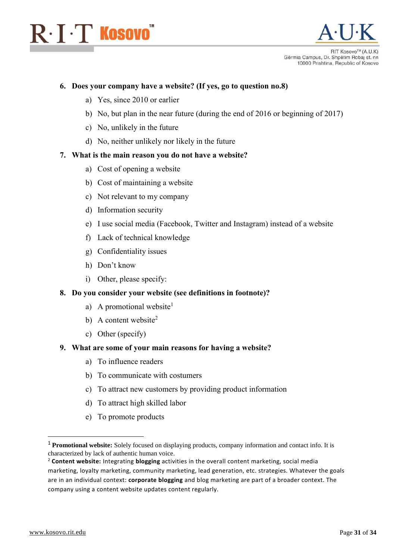## $\mathrm{R}\!\cdot\!\mathrm{I}\!\cdot\!\mathrm{T}$  Kosovo $\check{~}$



**BIT KOSOVOTM (A LLK)** Gërmia Campus, Dr. Shpëtim Robaj st. nn 10000 Prishtina, Republic of Kosovo

#### 6. Does your company have a website? (If yes, go to question no.8)

- a) Yes, since 2010 or earlier
- b) No, but plan in the near future (during the end of 2016 or beginning of 2017)
- c) No, unlikely in the future
- d) No, neither unlikely nor likely in the future

#### 7. What is the main reason you do not have a website?

- a) Cost of opening a website
- b) Cost of maintaining a website
- c) Not relevant to my company
- d) Information security
- e) I use social media (Facebook, Twitter and Instagram) instead of a website
- f) Lack of technical knowledge
- g) Confidentiality issues
- h) Don't know
- i) Other, please specify:

#### 8. Do you consider your website (see definitions in footnote)?

- a) A promotional website<sup>1</sup>
- b) A content website<sup>2</sup>
- c) Other (specify)

#### 9. What are some of your main reasons for having a website?

- a) To influence readers
- b) To communicate with costumers
- c) To attract new customers by providing product information
- d) To attract high skilled labor
- e) To promote products

**.** 

<sup>1</sup> **Promotional website:** Solely focused on displaying products, company information and contact info. It is characterized by lack of authentic human voice.

<sup>2</sup> **Content website:** Integrating **blogging** activities in the overall content marketing, social media marketing, loyalty marketing, community marketing, lead generation, etc. strategies. Whatever the goals are in an individual context: **corporate blogging** and blog marketing are part of a broader context. The company using a content website updates content regularly.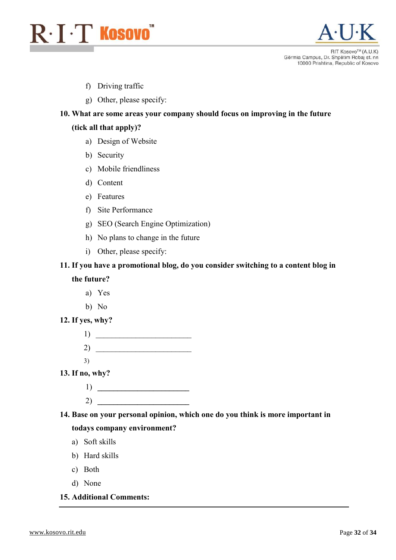



- f) Driving traffic
- g) Other, please specify:

#### 10. What are some areas your company should focus on improving in the future

#### (tick all that apply)?

- a) Design of Website
- b) Security
- c) Mobile friendliness
- d) Content
- e) Features
- f) Site Performance
- g) SEO (Search Engine Optimization)
- h) No plans to change in the future
- i) Other, please specify:

#### 11. If you have a promotional blog, do you consider switching to a content blog in

the future?

- a) Yes
- b) No

#### 12. If yes, why?



- 13. If no, why?
	- $1) \fbox{1}$
	- $2)$

14. Base on your personal opinion, which one do you think is more important in todays company environment?

- a) Soft skills
- b) Hard skills
- c) Both
- d) None
- 15. Additional Comments: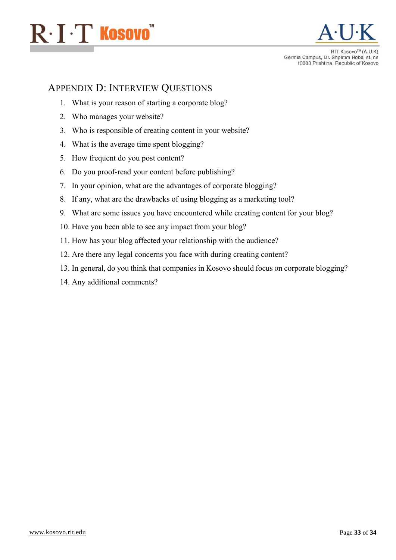



### <span id="page-33-0"></span>APPENDIX D: INTERVIEW QUESTIONS

- 1. What is your reason of starting a corporate blog?
- 2. Who manages your website?
- 3. Who is responsible of creating content in your website?
- 4. What is the average time spent blogging?
- 5. How frequent do you post content?
- 6. Do you proof-read your content before publishing?
- 7. In your opinion, what are the advantages of corporate blogging?
- 8. If any, what are the drawbacks of using blogging as a marketing tool?
- 9. What are some issues you have encountered while creating content for your blog?
- 10. Have you been able to see any impact from your blog?
- 11. How has your blog affected your relationship with the audience?
- 12. Are there any legal concerns you face with during creating content?
- 13. In general, do you think that companies in Kosovo should focus on corporate blogging?
- 14. Any additional comments?